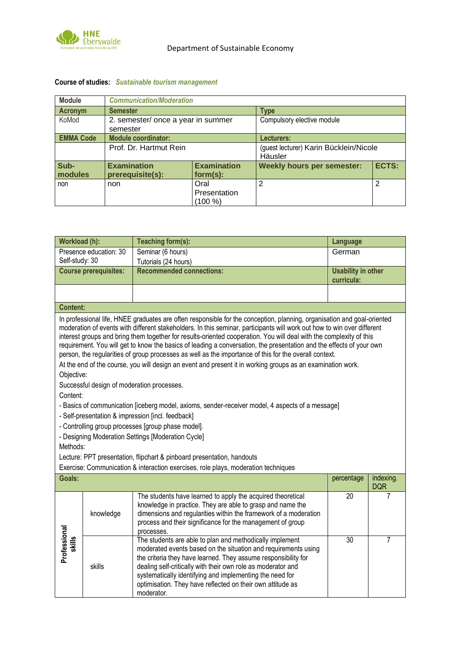

| <b>Module</b>    | <b>Communication/Moderation</b>                |                                   |                                                   |              |  |  |
|------------------|------------------------------------------------|-----------------------------------|---------------------------------------------------|--------------|--|--|
| <b>Acronym</b>   | <b>Semester</b>                                |                                   | <b>Type</b>                                       |              |  |  |
| KoMod            | 2. semester/ once a year in summer<br>semester |                                   | Compulsory elective module                        |              |  |  |
| <b>EMMA Code</b> | <b>Module coordinator:</b>                     |                                   | Lecturers:                                        |              |  |  |
|                  | Prof. Dr. Hartmut Rein                         |                                   | (guest lecturer) Karin Bücklein/Nicole<br>Häusler |              |  |  |
| Sub-<br>modules  | <b>Examination</b><br>prerequisite(s):         | <b>Examination</b><br>$form(s)$ : | <b>Weekly hours per semester:</b>                 | <b>ECTS:</b> |  |  |
| non              | non                                            | Oral<br>Presentation<br>(100 %)   | 2                                                 | 2            |  |  |

## **Course of studies:** *Sustainable tourism management*

| Workload (h):                                                                                                                                                                                                                                                                                                                                                                                                                                                                                                                                                                                                                                                                                                                                                                                                                                                                                                                                                                                                                                                                                                                                                 |                                                                                                                                                                                                                                                                                                                                                                                                                | Teaching form(s):                                                                                                                                                                                                                                                         | Language                |                |  |  |  |
|---------------------------------------------------------------------------------------------------------------------------------------------------------------------------------------------------------------------------------------------------------------------------------------------------------------------------------------------------------------------------------------------------------------------------------------------------------------------------------------------------------------------------------------------------------------------------------------------------------------------------------------------------------------------------------------------------------------------------------------------------------------------------------------------------------------------------------------------------------------------------------------------------------------------------------------------------------------------------------------------------------------------------------------------------------------------------------------------------------------------------------------------------------------|----------------------------------------------------------------------------------------------------------------------------------------------------------------------------------------------------------------------------------------------------------------------------------------------------------------------------------------------------------------------------------------------------------------|---------------------------------------------------------------------------------------------------------------------------------------------------------------------------------------------------------------------------------------------------------------------------|-------------------------|----------------|--|--|--|
|                                                                                                                                                                                                                                                                                                                                                                                                                                                                                                                                                                                                                                                                                                                                                                                                                                                                                                                                                                                                                                                                                                                                                               | Presence education: 30<br>Seminar (6 hours)                                                                                                                                                                                                                                                                                                                                                                    |                                                                                                                                                                                                                                                                           | German                  |                |  |  |  |
|                                                                                                                                                                                                                                                                                                                                                                                                                                                                                                                                                                                                                                                                                                                                                                                                                                                                                                                                                                                                                                                                                                                                                               | Self-study: 30<br>Tutorials (24 hours)                                                                                                                                                                                                                                                                                                                                                                         |                                                                                                                                                                                                                                                                           |                         |                |  |  |  |
|                                                                                                                                                                                                                                                                                                                                                                                                                                                                                                                                                                                                                                                                                                                                                                                                                                                                                                                                                                                                                                                                                                                                                               | <b>Course prerequisites:</b>                                                                                                                                                                                                                                                                                                                                                                                   | <b>Recommended connections:</b><br><b>Usability in other</b><br>curricula:                                                                                                                                                                                                |                         |                |  |  |  |
|                                                                                                                                                                                                                                                                                                                                                                                                                                                                                                                                                                                                                                                                                                                                                                                                                                                                                                                                                                                                                                                                                                                                                               |                                                                                                                                                                                                                                                                                                                                                                                                                |                                                                                                                                                                                                                                                                           |                         |                |  |  |  |
| <b>Content:</b>                                                                                                                                                                                                                                                                                                                                                                                                                                                                                                                                                                                                                                                                                                                                                                                                                                                                                                                                                                                                                                                                                                                                               |                                                                                                                                                                                                                                                                                                                                                                                                                |                                                                                                                                                                                                                                                                           |                         |                |  |  |  |
| In professional life, HNEE graduates are often responsible for the conception, planning, organisation and goal-oriented<br>moderation of events with different stakeholders. In this seminar, participants will work out how to win over different<br>interest groups and bring them together for results-oriented cooperation. You will deal with the complexity of this<br>requirement. You will get to know the basics of leading a conversation, the presentation and the effects of your own<br>person, the regularities of group processes as well as the importance of this for the overall context.<br>At the end of the course, you will design an event and present it in working groups as an examination work.<br>Objective:<br>Successful design of moderation processes.<br>Content:<br>- Basics of communication [iceberg model, axioms, sender-receiver model, 4 aspects of a message]<br>- Self-presentation & impression [incl. feedback]<br>- Controlling group processes [group phase model].<br>- Designing Moderation Settings [Moderation Cycle]<br>Methods:<br>Lecture: PPT presentation, flipchart & pinboard presentation, handouts |                                                                                                                                                                                                                                                                                                                                                                                                                |                                                                                                                                                                                                                                                                           |                         |                |  |  |  |
|                                                                                                                                                                                                                                                                                                                                                                                                                                                                                                                                                                                                                                                                                                                                                                                                                                                                                                                                                                                                                                                                                                                                                               |                                                                                                                                                                                                                                                                                                                                                                                                                | Exercise: Communication & interaction exercises, role plays, moderation techniques                                                                                                                                                                                        |                         |                |  |  |  |
| Goals:                                                                                                                                                                                                                                                                                                                                                                                                                                                                                                                                                                                                                                                                                                                                                                                                                                                                                                                                                                                                                                                                                                                                                        |                                                                                                                                                                                                                                                                                                                                                                                                                | percentage                                                                                                                                                                                                                                                                | indexing.<br><b>DQR</b> |                |  |  |  |
| Professional<br>skills                                                                                                                                                                                                                                                                                                                                                                                                                                                                                                                                                                                                                                                                                                                                                                                                                                                                                                                                                                                                                                                                                                                                        | knowledge                                                                                                                                                                                                                                                                                                                                                                                                      | The students have learned to apply the acquired theoretical<br>knowledge in practice. They are able to grasp and name the<br>dimensions and regularities within the framework of a moderation<br>process and their significance for the management of group<br>processes. | 20                      | $\overline{7}$ |  |  |  |
|                                                                                                                                                                                                                                                                                                                                                                                                                                                                                                                                                                                                                                                                                                                                                                                                                                                                                                                                                                                                                                                                                                                                                               | The students are able to plan and methodically implement<br>moderated events based on the situation and requirements using<br>the criteria they have learned. They assume responsibility for<br>skills<br>dealing self-critically with their own role as moderator and<br>systematically identifying and implementing the need for<br>optimisation. They have reflected on their own attitude as<br>moderator. |                                                                                                                                                                                                                                                                           | 30                      | $\overline{7}$ |  |  |  |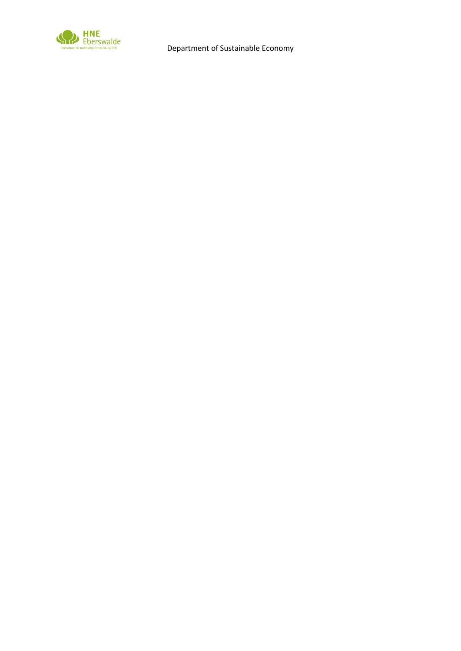

Department of Sustainable Economy